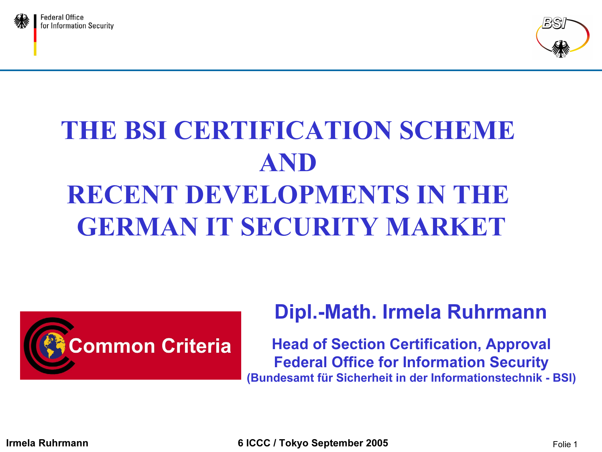



# THE BSI CERTIFICATION SCHEME AND RECENT DEVELOPMENTS IN THE GERMAN IT SECURITY MARKET



#### Dipl.-Math. Irmela Ruhrmann

Head of Section Certification, Approval Federal Office for Information Security (Bundesamt für Sicherheit in der Informationstechnik - BSI)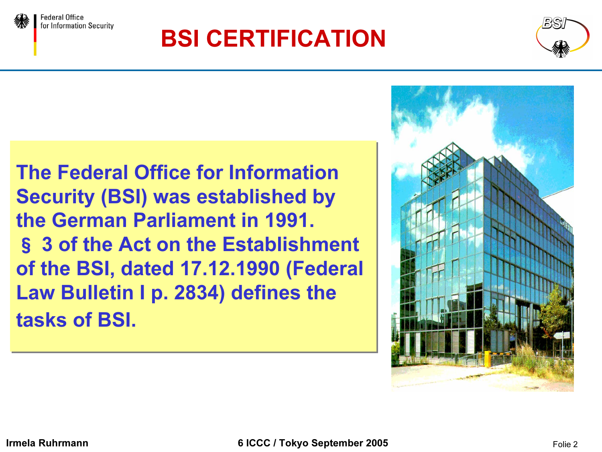



The Federal Office for Information The Federal Office for Information Security (BSI) was established by Security (BSI) was established by the German Parliament in 1991. the German Parliament in 1991. § 3 of the Act on the Establishment § 3 of the Act on the Establishment of the BSI, dated 17.12.1990 (Federal of the BSI, dated 17.12.1990 (Federal Law Bulletin I p. 2834) defines the Law Bulletin I p. 2834) defines the tasks of BSI. tasks of BSI.



Federal Office

for Information Security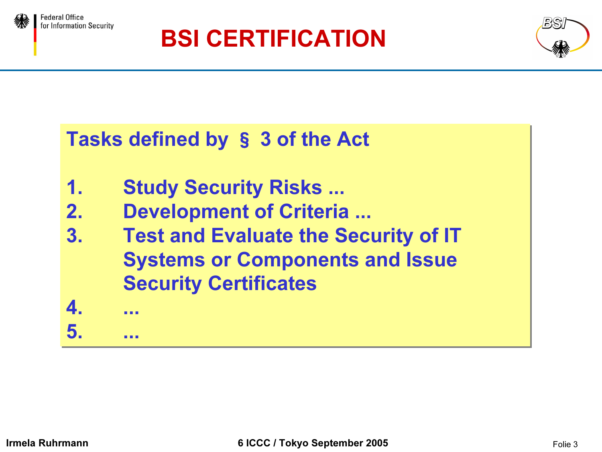





### Tasks defined by § 3 of the Act Tasks defined by § 3 of the Act

- 1. Study Security Risks ... 1. Study Security Risks ...
- 2. Development of Criteria ... 2. Development of Criteria ...
- 3. Test and Evaluate the Security of IT 3. Test and Evaluate the Security of IT Systems or Components and Issue Systems or Components and Issue Security Certificates Security Certificates



4. ...

5. ... 5. ...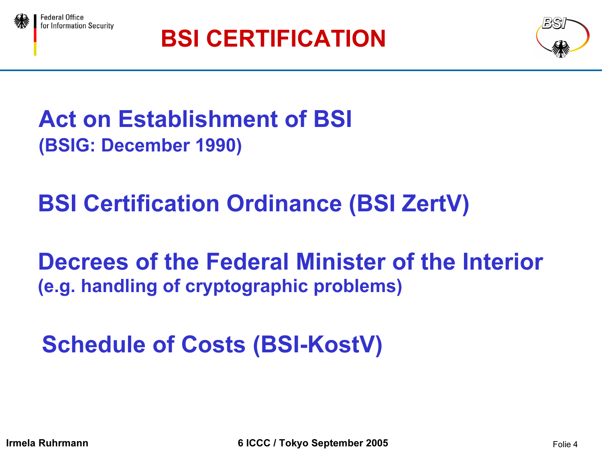





Act on Establishment of BSI (BSIG: December 1990)

BSI Certification Ordinance (BSI ZertV)

Decrees of the Federal Minister of the Interior(e.g. handling of cryptographic problems)

Schedule of Costs (BSI-KostV)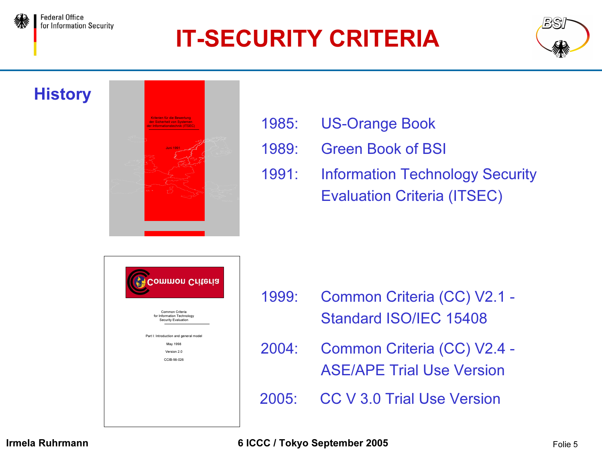## IT-SECURITY CRITERIA



#### **History**

**Federal Office** 

for Information Security



- 1985: US-Orange Book
- 1989: Green Book of BSI
- 1991: Information Technology Security Evaluation Criteria (ITSEC)

| <b>Common Criteria</b>                                               |  |
|----------------------------------------------------------------------|--|
| Common Criteria<br>for Information Technology<br>Security Evaluation |  |
| Part I: Introduction and general model<br>May 1998                   |  |
| Version 20                                                           |  |
| CCIB-98-026                                                          |  |
|                                                                      |  |
|                                                                      |  |

- 1999: Common Criteria (CC) V2.1 Standard ISO/IEC 15408
- 2004: Common Criteria (CC) V2.4 ASE/APE Trial Use Version
- 2005: CC V 3.0 Trial Use Version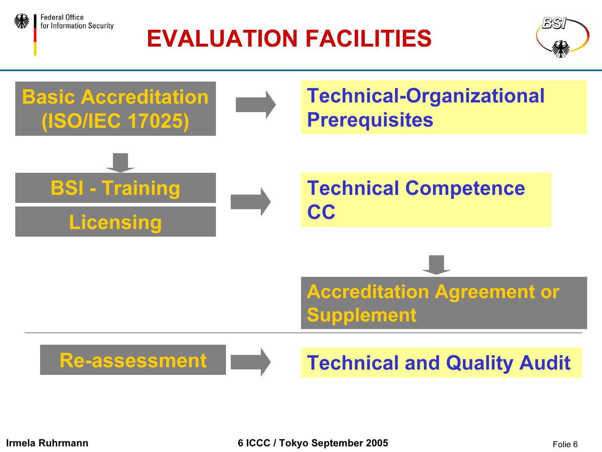

#### **Federal Office** for Information Security

## EVALUATION FACILITIES



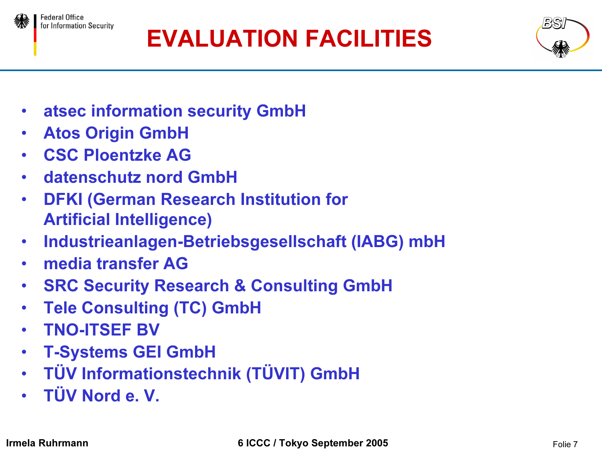

for Information Security

# EVALUATION FACILITIES



- $\bullet$ atsec information security GmbH
- •Atos Origin GmbH
- •CSC Ploentzke AG
- •datenschutz nord GmbH
- $\bullet$  DFKI (German Research Institution for Artificial Intelligence)
- $\bullet$ Industrieanlagen-Betriebsgesellschaft (IABG) mbH
- •media transfer AG
- $\bullet$ SRC Security Research & Consulting GmbH
- •Tele Consulting (TC) GmbH
- •TNO-ITSEF BV
- $\bullet$ T-Systems GEI GmbH
- •TÜV Informationstechnik (TÜVIT) GmbH
- TÜV Nord e. V.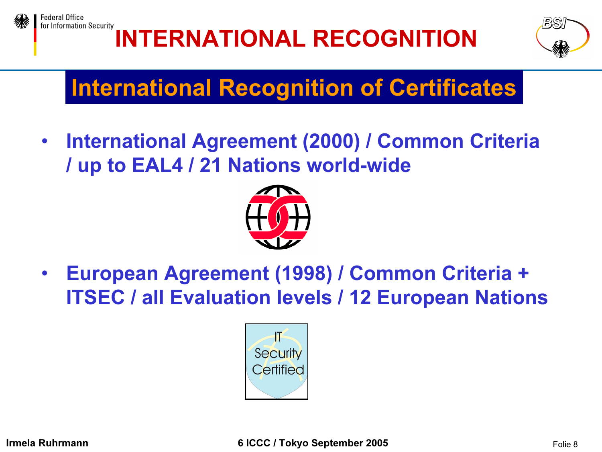

# INTERNATIONAL RECOGNITION



## International Recognition of Certificates

 $\bullet$  International Agreement (2000) / Common Criteria / up to EAL4 / 21 Nations world-wide



 $\bullet$  European Agreement (1998) / Common Criteria + ITSEC / all Evaluation levels / 12 European Nations

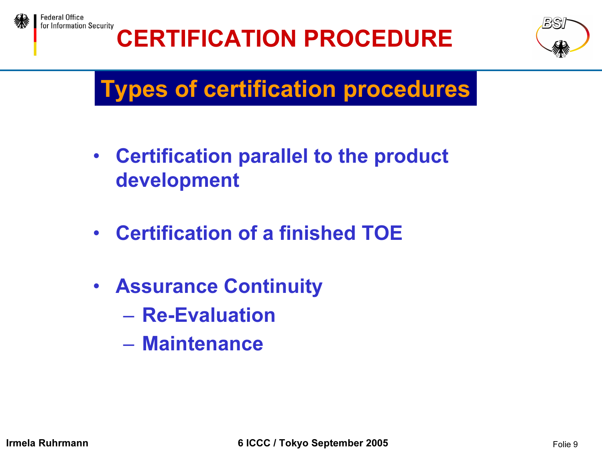



## Types of certification procedures

- • Certification parallel to the product development
- $\bullet$ Certification of a finished TOE
- Assurance Continuity
	- Re-Evaluation
	- Maintenance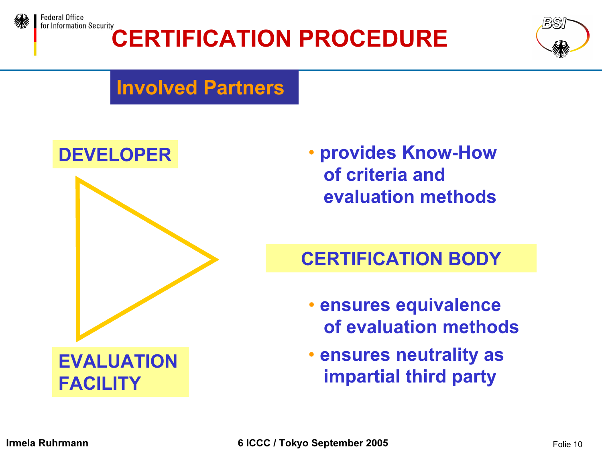



#### Involved Partners



• provides Know-How of criteria andevaluation methods

#### CERTIFICATION BODY

- ensures equivalence of evaluation methods
- ensures neutrality as impartial third party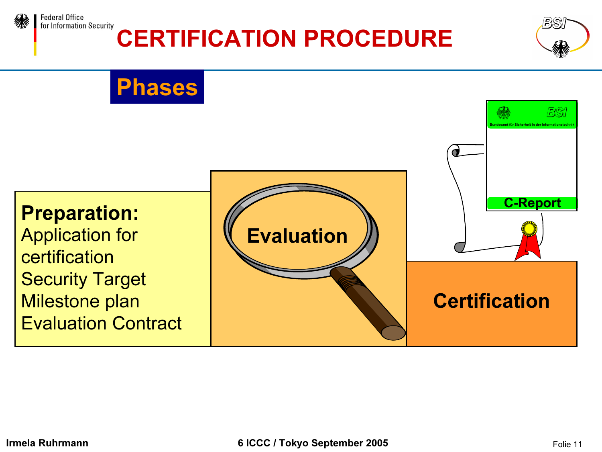

**Federal Office** for Information Security

### CERTIFICATION PROCEDURE

### Phases



BS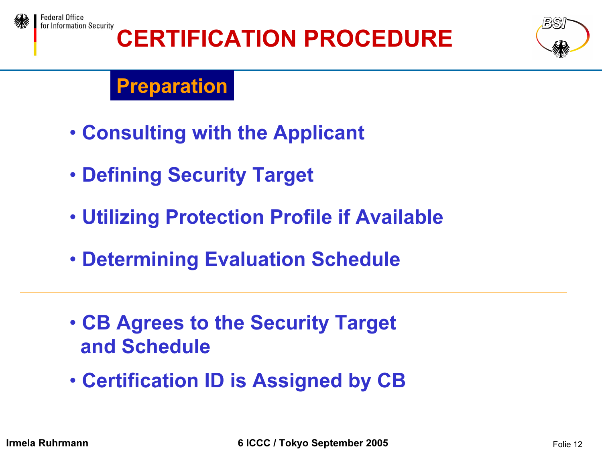



### **Preparation**

- Consulting with the Applicant
- Defining Security Target
- Utilizing Protection Profile if Available
- Determining Evaluation Schedule
- CB Agrees to the Security Target and Schedule
- Certification ID is Assigned by CB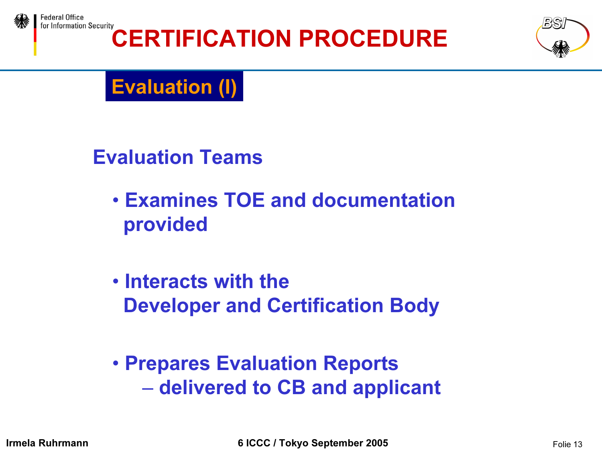





### Evaluation (I)

Evaluation Teams

- Examines TOE and documentationprovided
- Interacts with theDeveloper and Certification Body
- Prepares Evaluation Reports –– delivered to CB and applicant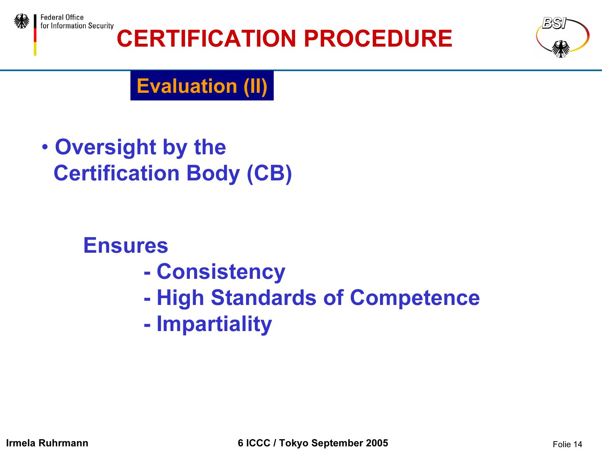



### Evaluation (II)

*•* Oversight by the Certification Body (CB)

#### Ensures

- $\mathcal{L}_{\mathcal{A}}$ **Consistency**
- $\mathcal{L}_{\mathcal{A}}$ High Standards of Competence
- -Impartiality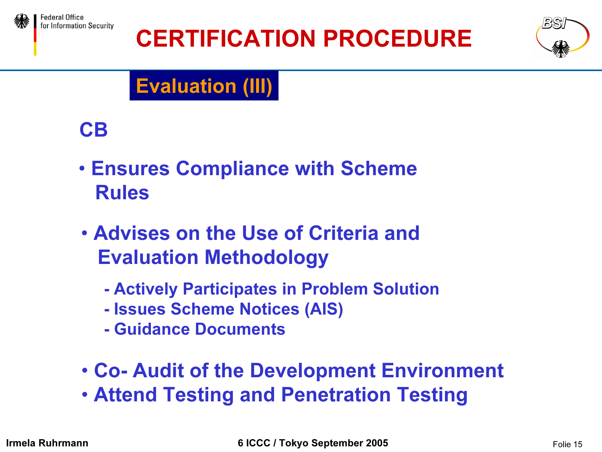



## Evaluation (III)



- Ensures Compliance with Scheme Rules
- Advises on the Use of Criteria andEvaluation Methodology
	- Actively Participates in Problem Solution
	- Issues Scheme Notices (AIS)
	- Guidance Documents
- Co- Audit of the Development Environment • Attend Testing and Penetration Testing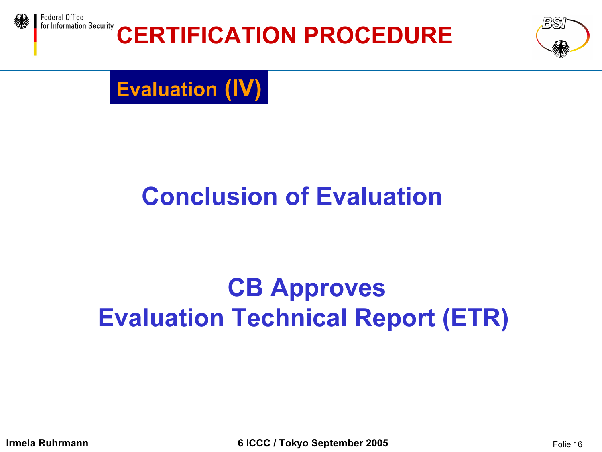

Federal Office for Information Security

## CERTIFICATION PROCEDURE



Evaluation (IV)

# Conclusion of Evaluation

## CB Approves Evaluation Technical Report (ETR)

**Irmela Ruhrmann** Folie 16 **GICC / Tokyo September 2005** Folie 16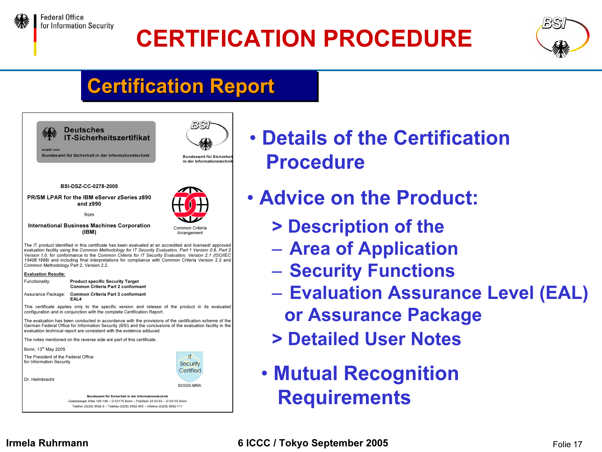



### **Certification Report**



- Details of the CertificationProcedure
- Advice on the Product:
	- > Description of the
	- Area of Application
	- Security Functions
	- Evaluation Assurance Level (EAL) or Assurance Package
	- > Detailed User Notes
	- Mutual Recognition **Requirements**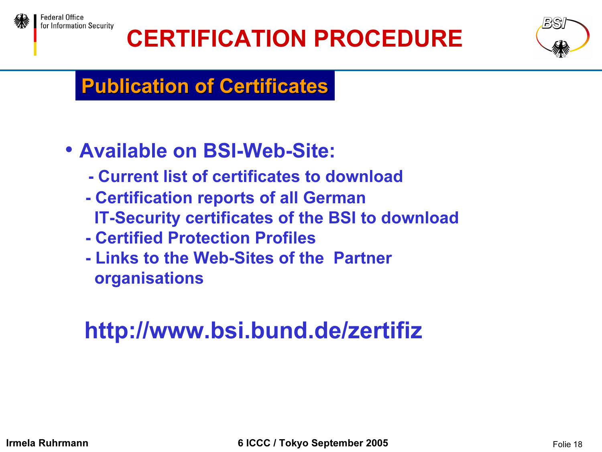



### Publication of Certificates

- *•* Available on BSI-Web-Site:
	- Current list of certificates to download
	- Certification reports of all German IT-Security certificates of the BSI to download
	- Certified Protection Profiles
	- Links to the Web-Sites of the Partner organisations

## http://www.bsi.bund.de/zertifiz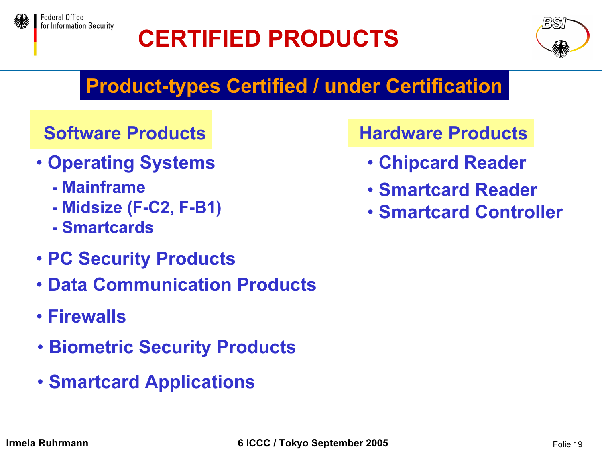

## CERTIFIED PRODUCTS



### Product-types Certified / under Certification

#### Software Products

- Operating Systems
	- Mainframe
	- Midsize (F-C2, F-B1)
	- Smartcards
- PC Security Products
- Data Communication Products
- Firewalls
- Biometric Security Products
- Smartcard Applications

#### Hardware Products

- Chipcard Reader
- Smartcard Reader
- Smartcard Controller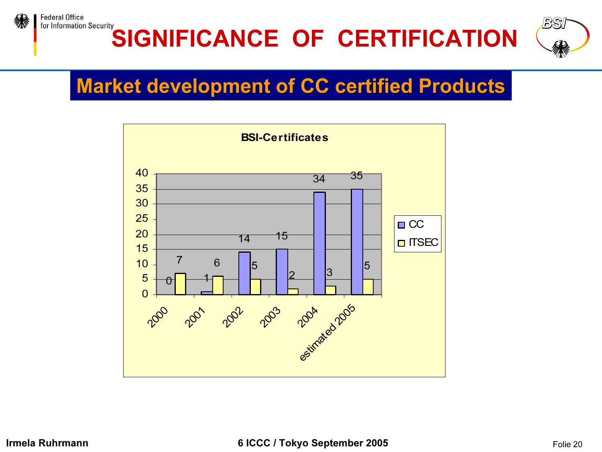

#### for Information Security SIGNIFICANCE OF CERTIFICATION



### Market development of CC certified Products

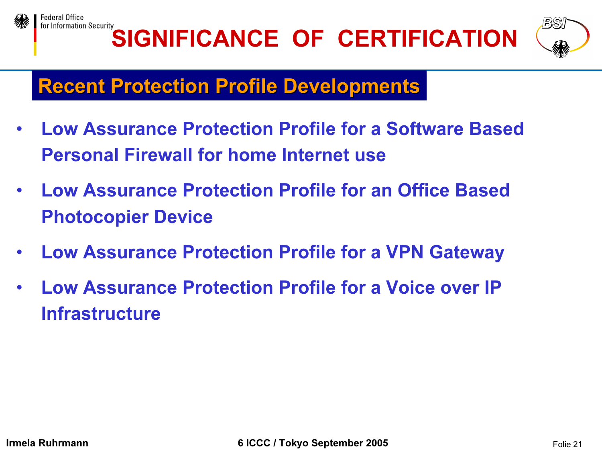





### **Recent Protection Profile Developments**

- $\bullet$  Low Assurance Protection Profile for a Software BasedPersonal Firewall for home Internet use
- • Low Assurance Protection Profile for an Office Based Photocopier Device
- $\bullet$ Low Assurance Protection Profile for a VPN Gateway
- $\bullet$  Low Assurance Protection Profile for a Voice over IP Infrastructure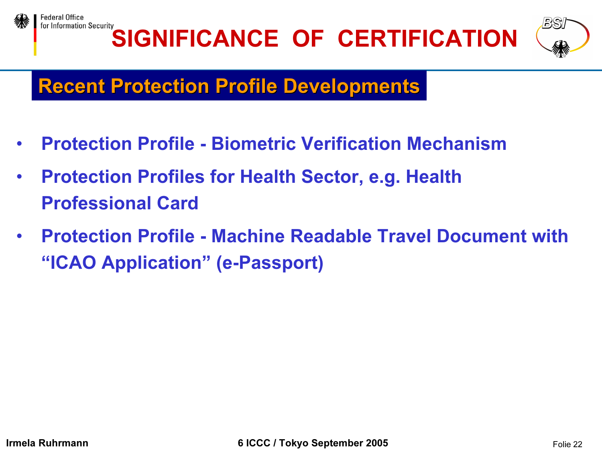





### **Recent Protection Profile Developments**

- $\bullet$ Protection Profile - Biometric Verification Mechanism
- • Protection Profiles for Health Sector, e.g. Health Professional Card
- $\bullet$  Protection Profile - Machine Readable Travel Document with"ICAO Application" (e-Passport)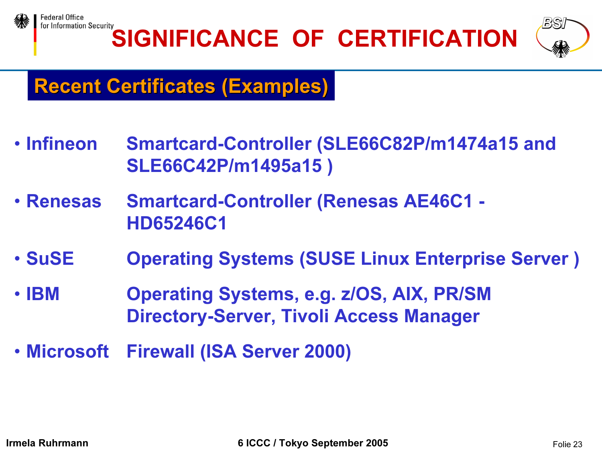

for Information Security SIGNIFICANCE OF CERTIFICATION



### Recent Certificates (Examples)

- Infineon Smartcard-Controller (SLE66C82P/m1474a15 and SLE66C42P/m1495a15 )
- Renesas **Smartcard-Controller (Renesas AE46C1 -**HD65246C1
- SuSE **Operating Systems (SUSE Linux Enterprise Server)**
- IBM Operating Systems, e.g. z/OS, AIX, PR/SM Directory-Server, Tivoli Access Manager
- Microsoft **Firewall (ISA Server 2000)**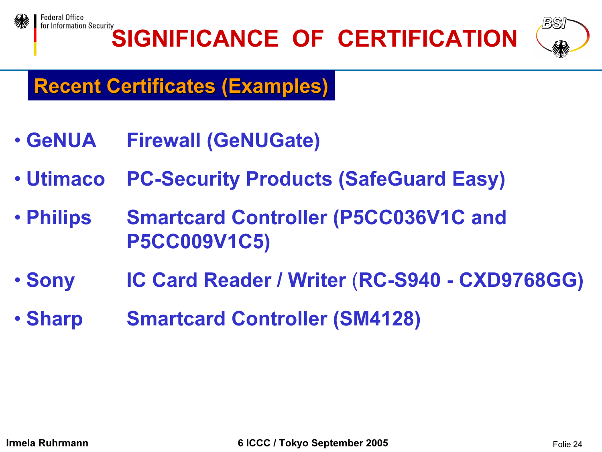



### Recent Certificates (Examples)

- GeNUA **Firewall (GeNUGate)**
- Utimaco **PC-Security Products (SafeGuard Easy)**
- Philips **Smartcard Controller (P5CC036V1C and** P5CC009V1C5)
- Sony Sony IC Card Reader / Writer (RC-S940 - CXD9768GG)
- Sharp **Smartcard Controller (SM4128)**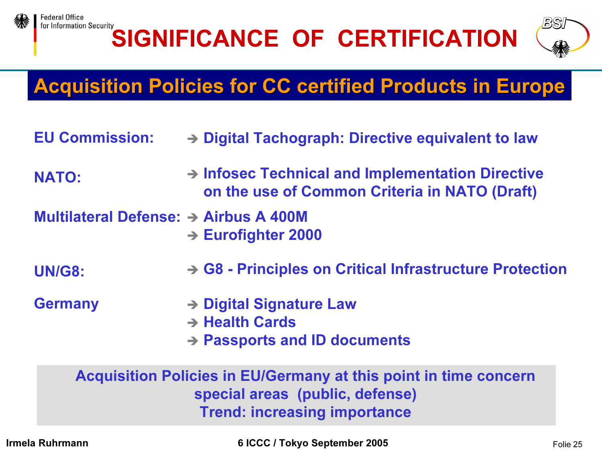

# SIGNIFICANCE OF CERTIFICATION



### **Acquisition Policies for CC certified Products in Europe**

- EU Commission:Digital Tachograph: Directive equivalent to law
- NATO: → Infosec Technical and Implementation Directive on the use of Common Criteria in NATO (Draft)
- Multilateral Defense: → Airbus A 400M **→ Eurofighter 2000**
- UN/G8:**→ G8 - Principles on Critical Infrastructure Protection**
- **Germany**
- **→ Digital Signature Law** 
	- → Health Cards
	- **→ Passports and ID documents**

#### Acquisition Policies in EU/Germany at this point in time concern special areas (public, defense) Trend: increasing importance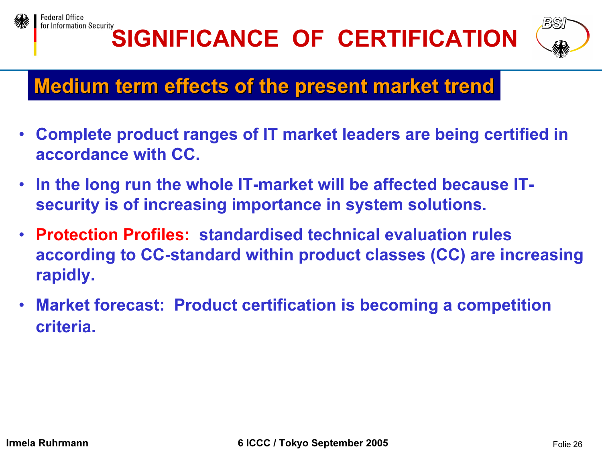





### Medium term effects of the present market trend

- • Complete product ranges of IT market leaders are being certified in accordance with CC.
- In the long run the whole IT-market will be affected because ITsecurity is of increasing importance in system solutions.
- $\bullet$  Protection Profiles: standardised technical evaluation rules according to CC-standard within product classes (CC) are increasing rapidly.
- Market forecast: Product certification is becoming a competition criteria.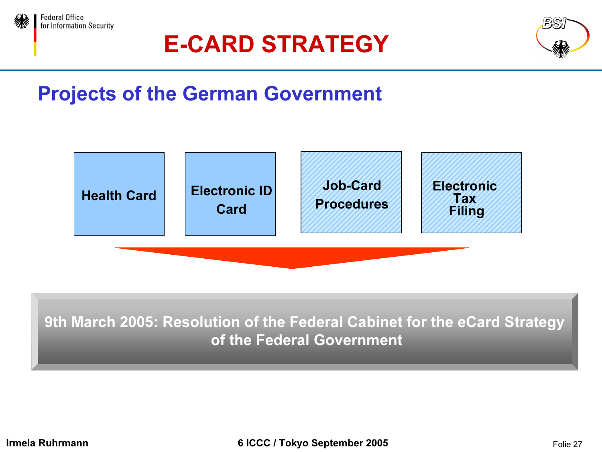

### E-CARD STRATEGY



### Projects of the German Government



9th March 2005: Resolution of the Federal Cabinet for the eCard Strategy of the Federal Government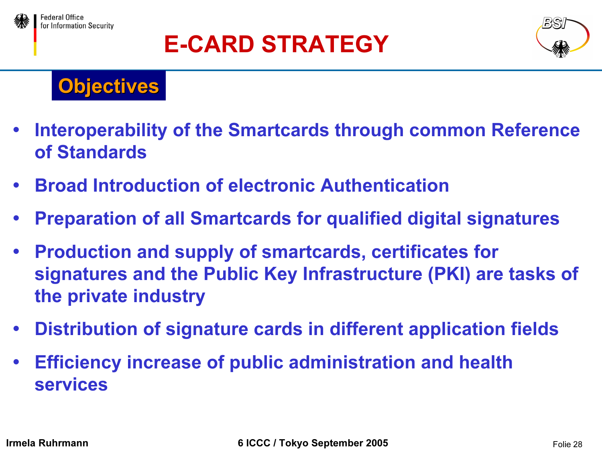

## E-CARD STRATEGY



### **Objectives**

- $\bullet$  Interoperability of the Smartcards through common Reference of Standards
- $\bullet$ Broad Introduction of electronic Authentication
- $\bullet$ Preparation of all Smartcards for qualified digital signatures
- $\bullet$  Production and supply of smartcards, certificates for signatures and the Public Key Infrastructure (PKI) are tasks of the private industry
- $\bullet$ Distribution of signature cards in different application fields
- $\bullet$  Efficiency increase of public administration and health services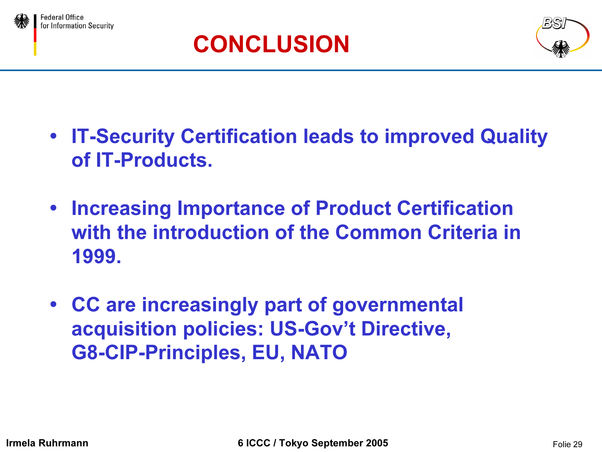





- **IT-Security Certification leads to improved Quality** of IT-Products.
- **Increasing Importance of Product Certification** with the introduction of the Common Criteria in 1999.
- CC are increasingly part of governmental acquisition policies: US-Gov't Directive, G8-CIP-Principles, EU, NATO